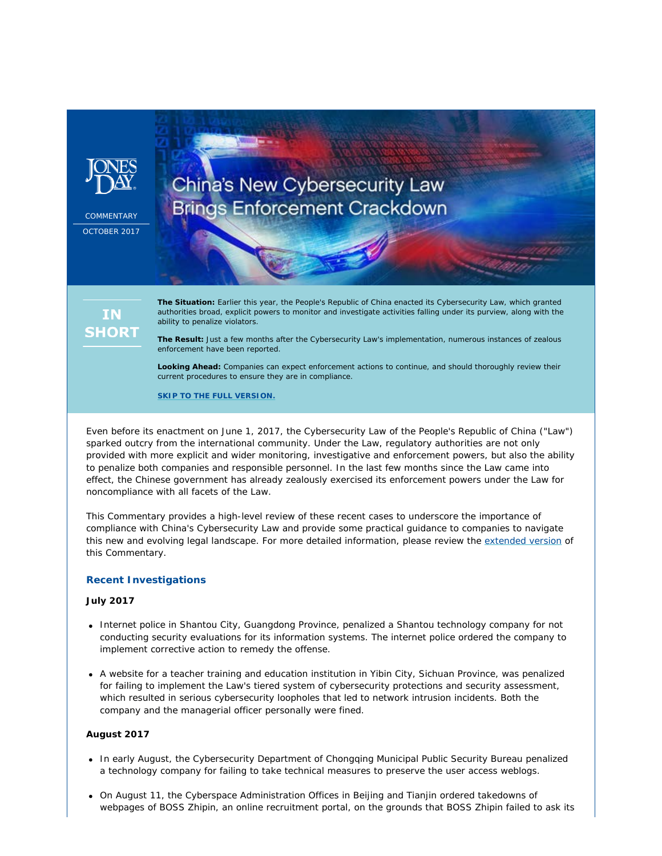

**COMMENTARY** OCTOBER 2017

# China's New Cybersecurity Law **Brings Enforcement Crackdown**

## **IN SHORT**

**The Situation:** Earlier this year, the People's Republic of China enacted its Cybersecurity Law, which granted authorities broad, explicit powers to monitor and investigate activities falling under its purview, along with the ability to penalize violators.

**The Result:** Just a few months after the Cybersecurity Law's implementation, numerous instances of zealous enforcement have been reported.

**Looking Ahead:** Companies can expect enforcement actions to continue, and should thoroughly review their current procedures to ensure they are in compliance.

**[SKIP TO THE FULL VERSION.](http://www.jonesday.com/Chinas-New-Cybersecurity-Law-Brings-Enforcement-Crackdown-10-12-2017)**

Even before its enactment on June 1, 2017, the Cybersecurity Law of the People's Republic of China ("Law") sparked outcry from the international community. Under the Law, regulatory authorities are not only provided with more explicit and wider monitoring, investigative and enforcement powers, but also the ability to penalize both companies and responsible personnel. In the last few months since the Law came into effect, the Chinese government has already zealously exercised its enforcement powers under the Law for noncompliance with all facets of the Law.

This *Commentary* provides a high-level review of these recent cases to underscore the importance of compliance with China's Cybersecurity Law and provide some practical guidance to companies to navigate this new and evolving legal landscape. For more detailed information, please review the [extended version](https://jonesday-ecommunications.com/234/1587/downloads/china-s-cybersecurity-law-long-form.pdf) of this *Commentary*.

#### **Recent Investigations**

#### **July 2017**

- Internet police in Shantou City, Guangdong Province, penalized a Shantou technology company for not conducting security evaluations for its information systems. The internet police ordered the company to implement corrective action to remedy the offense.
- A website for a teacher training and education institution in Yibin City, Sichuan Province, was penalized for failing to implement the Law's tiered system of cybersecurity protections and security assessment, which resulted in serious cybersecurity loopholes that led to network intrusion incidents. Both the company and the managerial officer personally were fined.

#### **August 2017**

- In early August, the Cybersecurity Department of Chongqing Municipal Public Security Bureau penalized a technology company for failing to take technical measures to preserve the user access weblogs.
- On August 11, the Cyberspace Administration Offices in Beijing and Tianjin ordered takedowns of webpages of BOSS Zhipin, an online recruitment portal, on the grounds that BOSS Zhipin failed to ask its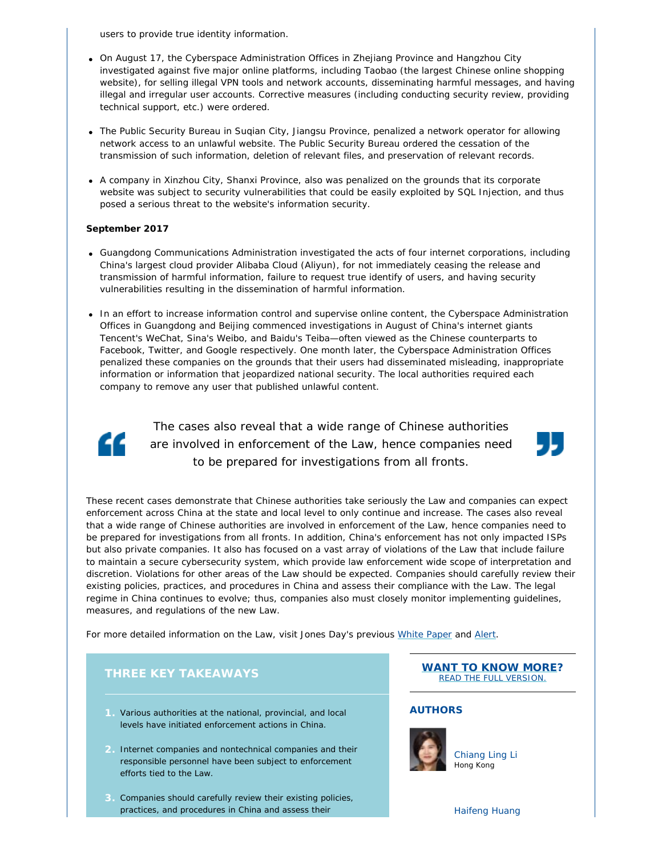users to provide true identity information.

- On August 17, the Cyberspace Administration Offices in Zhejiang Province and Hangzhou City investigated against five major online platforms, including Taobao (the largest Chinese online shopping website), for selling illegal VPN tools and network accounts, disseminating harmful messages, and having illegal and irregular user accounts. Corrective measures (including conducting security review, providing technical support, etc.) were ordered.
- The Public Security Bureau in Suqian City, Jiangsu Province, penalized a network operator for allowing network access to an unlawful website. The Public Security Bureau ordered the cessation of the transmission of such information, deletion of relevant files, and preservation of relevant records.
- A company in Xinzhou City, Shanxi Province, also was penalized on the grounds that its corporate website was subject to security vulnerabilities that could be easily exploited by SQL Injection, and thus posed a serious threat to the website's information security.

#### **September 2017**

- Guangdong Communications Administration investigated the acts of four internet corporations, including China's largest cloud provider Alibaba Cloud (Aliyun), for not immediately ceasing the release and transmission of harmful information, failure to request true identify of users, and having security vulnerabilities resulting in the dissemination of harmful information.
- In an effort to increase information control and supervise online content, the Cyberspace Administration Offices in Guangdong and Beijing commenced investigations in August of China's internet giants Tencent's WeChat, Sina's Weibo, and Baidu's Teiba—often viewed as the Chinese counterparts to Facebook, Twitter, and Google respectively. One month later, the Cyberspace Administration Offices penalized these companies on the grounds that their users had disseminated misleading, inappropriate information or information that jeopardized national security. The local authorities required each company to remove any user that published unlawful content.



The cases also reveal that a wide range of Chinese authorities are involved in enforcement of the Law, hence companies need to be prepared for investigations from all fronts.



These recent cases demonstrate that Chinese authorities take seriously the Law and companies can expect enforcement across China at the state and local level to only continue and increase. The cases also reveal that a wide range of Chinese authorities are involved in enforcement of the Law, hence companies need to be prepared for investigations from all fronts. In addition, China's enforcement has not only impacted ISPs but also private companies. It also has focused on a vast array of violations of the Law that include failure to maintain a secure cybersecurity system, which provide law enforcement wide scope of interpretation and discretion. Violations for other areas of the Law should be expected. Companies should carefully review their existing policies, practices, and procedures in China and assess their compliance with the Law. The legal regime in China continues to evolve; thus, companies also must closely monitor implementing guidelines, measures, and regulations of the new Law.

For more detailed information on the Law, visit Jones Day's previous *[White Paper](http://www.jonesday.com/files/upload/Implementing Chinas Cybersecurity Law.pdf)* and *[Alert](http://www.jonesday.com/chinas-new-cybersecurity-law-and-draft-data-localization-measures-expected-to-burden-multinational-companies-05-08-2017/)*.

### **THREE KEY TAKEAWAYS**

- **1.** Various authorities at the national, provincial, and local levels have initiated enforcement actions in China.
- **2.** Internet companies and nontechnical companies and their responsible personnel have been subject to enforcement efforts tied to the Law.
- **3.** Companies should carefully review their existing policies, practices, and procedures in China and assess their

**[WANT TO KNOW MORE](https://jonesday-ecommunications.com/234/1587/downloads/china-s-cybersecurity-law-long-form.pdf)?** [READ THE FULL VERSION.](https://jonesday-ecommunications.com/234/1587/downloads/china-s-cybersecurity-law-long-form.pdf)

#### **AUTHORS**



[Chiang Ling Li](http://www.jonesday.com/chianglingli/) Hong Kong